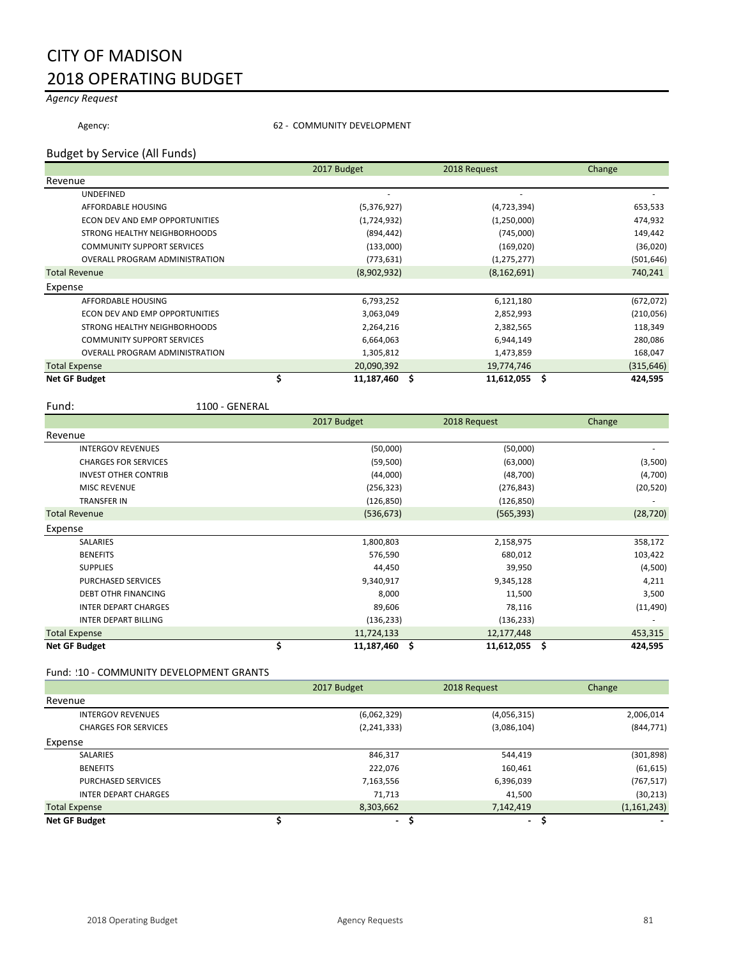# CITY OF MADISON 2018 OPERATING BUDGET

## *Agency Request*

Agency:  $62 - \text{COMMUNITY DEVELOPMENT}$ 

### Budget by Service (All Funds)

|                                       | 2017 Budget | 2018 Request     | Change         |
|---------------------------------------|-------------|------------------|----------------|
| Revenue                               |             |                  |                |
| UNDEFINED                             |             |                  |                |
| AFFORDABLE HOUSING                    | (5,376,927) | (4,723,394)      | 653,533        |
| <b>ECON DEV AND EMP OPPORTUNITIES</b> | (1,724,932) | (1,250,000)      | 474,932        |
| STRONG HEALTHY NEIGHBORHOODS          | (894, 442)  | (745,000)        | 149,442        |
| <b>COMMUNITY SUPPORT SERVICES</b>     | (133,000)   | (169, 020)       | (36,020)       |
| <b>OVERALL PROGRAM ADMINISTRATION</b> | (773, 631)  | (1, 275, 277)    | (501, 646)     |
| <b>Total Revenue</b>                  | (8,902,932) | (8, 162, 691)    | 740,241        |
| Expense                               |             |                  |                |
| AFFORDABLE HOUSING                    | 6,793,252   | 6,121,180        | (672, 072)     |
| ECON DEV AND EMP OPPORTUNITIES        | 3,063,049   | 2,852,993        | (210, 056)     |
| STRONG HEALTHY NEIGHBORHOODS          | 2,264,216   | 2,382,565        | 118,349        |
| <b>COMMUNITY SUPPORT SERVICES</b>     | 6,664,063   | 6,944,149        | 280,086        |
| <b>OVERALL PROGRAM ADMINISTRATION</b> | 1,305,812   | 1,473,859        | 168,047        |
| <b>Total Expense</b>                  | 20,090,392  | 19,774,746       | (315, 646)     |
| <b>Net GF Budget</b>                  | 11,187,460  | \$<br>11,612,055 | .\$<br>424,595 |

Fund: 1100 - GENERAL

|                             | 2017 Budget      | 2018 Request     | Change        |
|-----------------------------|------------------|------------------|---------------|
| Revenue                     |                  |                  |               |
| <b>INTERGOV REVENUES</b>    | (50,000)         | (50,000)         |               |
| <b>CHARGES FOR SERVICES</b> | (59, 500)        | (63,000)         | (3,500)       |
| <b>INVEST OTHER CONTRIB</b> | (44,000)         | (48, 700)        | (4,700)       |
| <b>MISC REVENUE</b>         | (256, 323)       | (276, 843)       | (20, 520)     |
| <b>TRANSFER IN</b>          | (126, 850)       | (126, 850)       |               |
| <b>Total Revenue</b>        | (536, 673)       | (565, 393)       | (28, 720)     |
| Expense                     |                  |                  |               |
| SALARIES                    | 1,800,803        | 2,158,975        | 358,172       |
| <b>BENEFITS</b>             | 576,590          | 680,012          | 103,422       |
| <b>SUPPLIES</b>             | 44,450           | 39,950           | (4,500)       |
| PURCHASED SERVICES          | 9,340,917        | 9,345,128        | 4,211         |
| <b>DEBT OTHR FINANCING</b>  | 8,000            | 11,500           | 3,500         |
| <b>INTER DEPART CHARGES</b> | 89,606           | 78,116           | (11, 490)     |
| <b>INTER DEPART BILLING</b> | (136, 233)       | (136, 233)       |               |
| <b>Total Expense</b>        | 11,724,133       | 12,177,448       | 453,315       |
| <b>Net GF Budget</b>        | \$<br>11,187,460 | \$<br>11,612,055 | \$<br>424,595 |

### Fund: 10 - COMMUNITY DEVELOPMENT GRANTS

|                             | 2017 Budget   | 2018 Request | Change        |
|-----------------------------|---------------|--------------|---------------|
| Revenue                     |               |              |               |
| <b>INTERGOV REVENUES</b>    | (6,062,329)   | (4,056,315)  | 2,006,014     |
| <b>CHARGES FOR SERVICES</b> | (2, 241, 333) | (3,086,104)  | (844, 771)    |
| Expense                     |               |              |               |
| <b>SALARIES</b>             | 846,317       | 544,419      | (301, 898)    |
| <b>BENEFITS</b>             | 222,076       | 160,461      | (61, 615)     |
| PURCHASED SERVICES          | 7,163,556     | 6,396,039    | (767, 517)    |
| <b>INTER DEPART CHARGES</b> | 71,713        | 41,500       | (30, 213)     |
| <b>Total Expense</b>        | 8,303,662     | 7,142,419    | (1, 161, 243) |
| <b>Net GF Budget</b>        | ۰.            | ۰.           |               |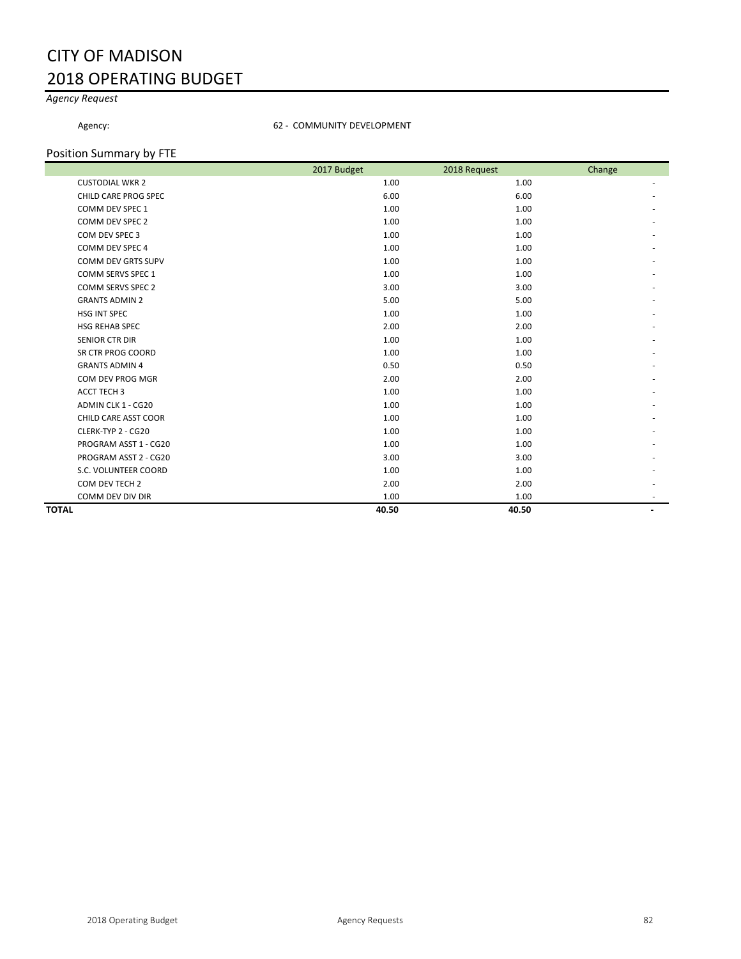# CITY OF MADISON 2018 OPERATING BUDGET

### *Agency Request*

#### Agency: 62 - COMMUNITY DEVELOPMENT

### Position Summary by FTE

|                           | 2017 Budget | 2018 Request | Change |
|---------------------------|-------------|--------------|--------|
| <b>CUSTODIAL WKR 2</b>    | 1.00        | 1.00         |        |
| CHILD CARE PROG SPEC      | 6.00        | 6.00         |        |
| COMM DEV SPEC 1           | 1.00        | 1.00         |        |
| COMM DEV SPEC 2           | 1.00        | 1.00         |        |
| COM DEV SPEC 3            | 1.00        | 1.00         |        |
| COMM DEV SPEC 4           | 1.00        | 1.00         |        |
| <b>COMM DEV GRTS SUPV</b> | 1.00        | 1.00         |        |
| COMM SERVS SPEC 1         | 1.00        | 1.00         |        |
| <b>COMM SERVS SPEC 2</b>  | 3.00        | 3.00         |        |
| <b>GRANTS ADMIN 2</b>     | 5.00        | 5.00         |        |
| HSG INT SPEC              | 1.00        | 1.00         |        |
| <b>HSG REHAB SPEC</b>     | 2.00        | 2.00         |        |
| <b>SENIOR CTR DIR</b>     | 1.00        | 1.00         |        |
| SR CTR PROG COORD         | 1.00        | 1.00         |        |
| <b>GRANTS ADMIN 4</b>     | 0.50        | 0.50         |        |
| COM DEV PROG MGR          | 2.00        | 2.00         |        |
| ACCT TECH 3               | 1.00        | 1.00         |        |
| ADMIN CLK 1 - CG20        | 1.00        | 1.00         |        |
| CHILD CARE ASST COOR      | 1.00        | 1.00         |        |
| CLERK-TYP 2 - CG20        | 1.00        | 1.00         |        |
| PROGRAM ASST 1 - CG20     | 1.00        | 1.00         |        |
| PROGRAM ASST 2 - CG20     | 3.00        | 3.00         |        |
| S.C. VOLUNTEER COORD      | 1.00        | 1.00         |        |
| COM DEV TECH 2            | 2.00        | 2.00         |        |
| COMM DEV DIV DIR          | 1.00        | 1.00         |        |
| <b>TOTAL</b>              | 40.50       | 40.50        |        |
|                           |             |              |        |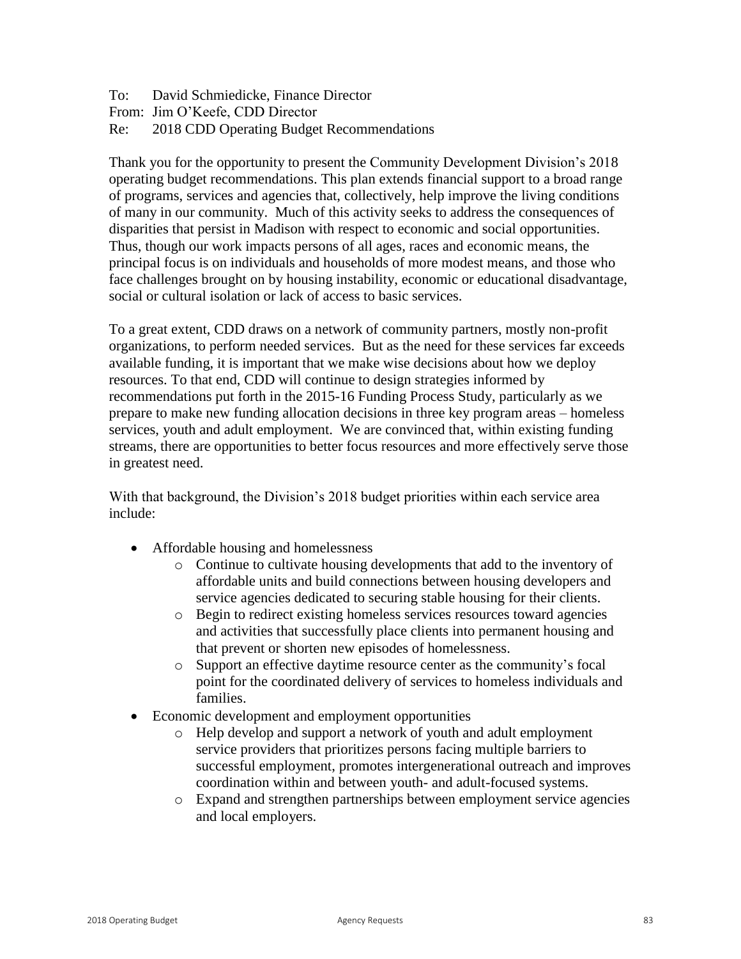To: David Schmiedicke, Finance Director From: Jim O'Keefe, CDD Director Re: 2018 CDD Operating Budget Recommendations

Thank you for the opportunity to present the Community Development Division's 2018 operating budget recommendations. This plan extends financial support to a broad range of programs, services and agencies that, collectively, help improve the living conditions of many in our community. Much of this activity seeks to address the consequences of disparities that persist in Madison with respect to economic and social opportunities. Thus, though our work impacts persons of all ages, races and economic means, the principal focus is on individuals and households of more modest means, and those who face challenges brought on by housing instability, economic or educational disadvantage, social or cultural isolation or lack of access to basic services.

To a great extent, CDD draws on a network of community partners, mostly non-profit organizations, to perform needed services. But as the need for these services far exceeds available funding, it is important that we make wise decisions about how we deploy resources. To that end, CDD will continue to design strategies informed by recommendations put forth in the 2015-16 Funding Process Study, particularly as we prepare to make new funding allocation decisions in three key program areas – homeless services, youth and adult employment. We are convinced that, within existing funding streams, there are opportunities to better focus resources and more effectively serve those in greatest need.

With that background, the Division's 2018 budget priorities within each service area include:

- Affordable housing and homelessness
	- o Continue to cultivate housing developments that add to the inventory of affordable units and build connections between housing developers and service agencies dedicated to securing stable housing for their clients.
	- o Begin to redirect existing homeless services resources toward agencies and activities that successfully place clients into permanent housing and that prevent or shorten new episodes of homelessness.
	- o Support an effective daytime resource center as the community's focal point for the coordinated delivery of services to homeless individuals and families.
- Economic development and employment opportunities
	- o Help develop and support a network of youth and adult employment service providers that prioritizes persons facing multiple barriers to successful employment, promotes intergenerational outreach and improves coordination within and between youth- and adult-focused systems.
	- o Expand and strengthen partnerships between employment service agencies and local employers.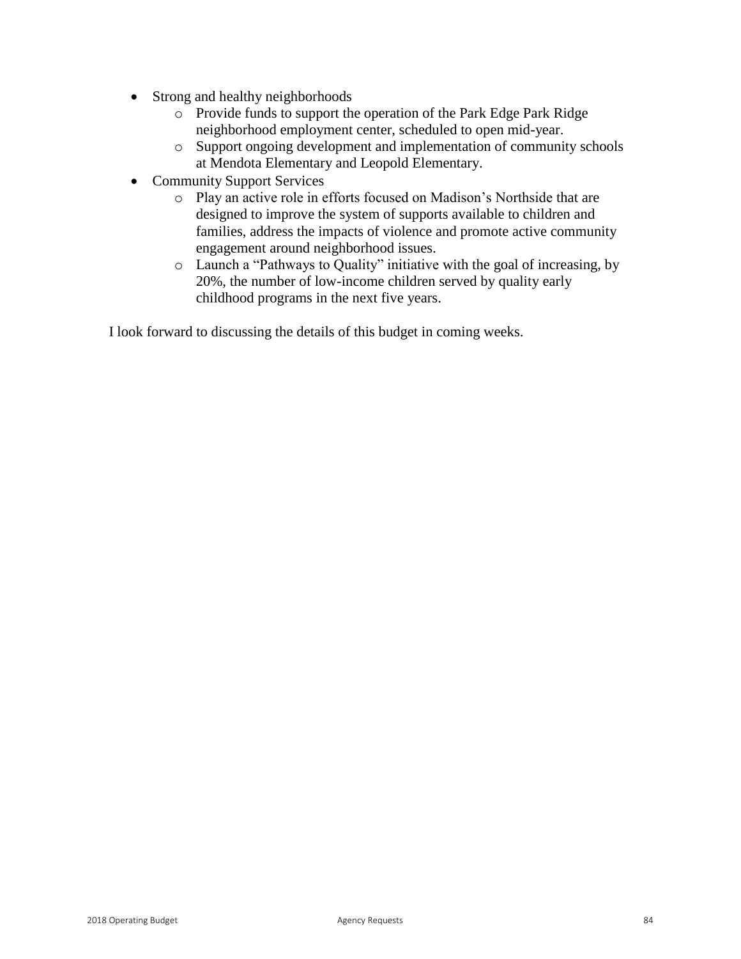- Strong and healthy neighborhoods
	- o Provide funds to support the operation of the Park Edge Park Ridge neighborhood employment center, scheduled to open mid-year.
	- o Support ongoing development and implementation of community schools at Mendota Elementary and Leopold Elementary.
- Community Support Services
	- o Play an active role in efforts focused on Madison's Northside that are designed to improve the system of supports available to children and families, address the impacts of violence and promote active community engagement around neighborhood issues.
	- o Launch a "Pathways to Quality" initiative with the goal of increasing, by 20%, the number of low-income children served by quality early childhood programs in the next five years.

I look forward to discussing the details of this budget in coming weeks.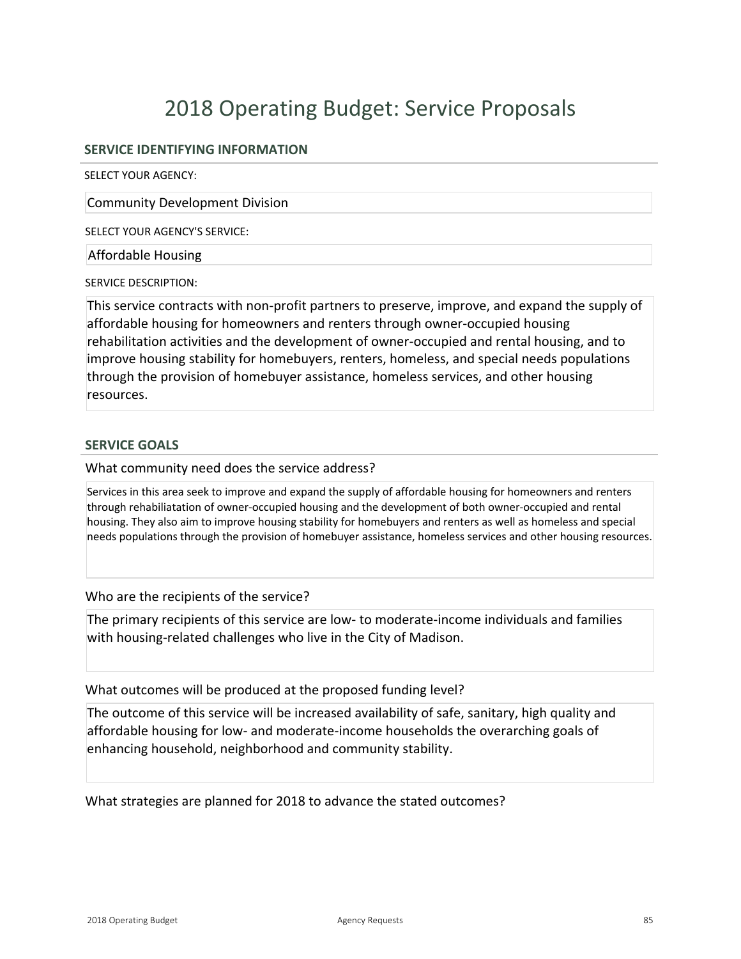### **SERVICE IDENTIFYING INFORMATION**

SELECT YOUR AGENCY:

Community Development Division

SELECT YOUR AGENCY'S SERVICE:

Affordable Housing

SERVICE DESCRIPTION:

This service contracts with non-profit partners to preserve, improve, and expand the supply of affordable housing for homeowners and renters through owner-occupied housing rehabilitation activities and the development of owner-occupied and rental housing, and to improve housing stability for homebuyers, renters, homeless, and special needs populations through the provision of homebuyer assistance, homeless services, and other housing resources.

### **SERVICE GOALS**

What community need does the service address?

Services in this area seek to improve and expand the supply of affordable housing for homeowners and renters through rehabiliatation of owner-occupied housing and the development of both owner-occupied and rental housing. They also aim to improve housing stability for homebuyers and renters as well as homeless and special needs populations through the provision of homebuyer assistance, homeless services and other housing resources.

Who are the recipients of the service?

The primary recipients of this service are low- to moderate-income individuals and families with housing-related challenges who live in the City of Madison.

What outcomes will be produced at the proposed funding level?

The outcome of this service will be increased availability of safe, sanitary, high quality and affordable housing for low- and moderate-income households the overarching goals of enhancing household, neighborhood and community stability.

What strategies are planned for 2018 to advance the stated outcomes?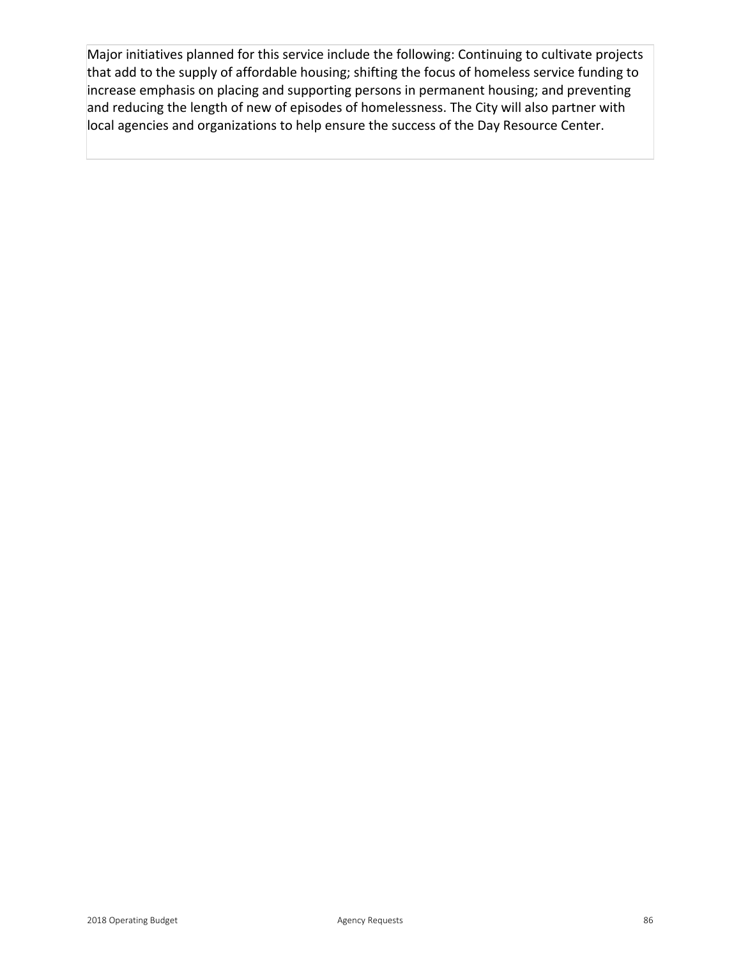Major initiatives planned for this service include the following: Continuing to cultivate projects that add to the supply of affordable housing; shifting the focus of homeless service funding to increase emphasis on placing and supporting persons in permanent housing; and preventing and reducing the length of new of episodes of homelessness. The City will also partner with local agencies and organizations to help ensure the success of the Day Resource Center.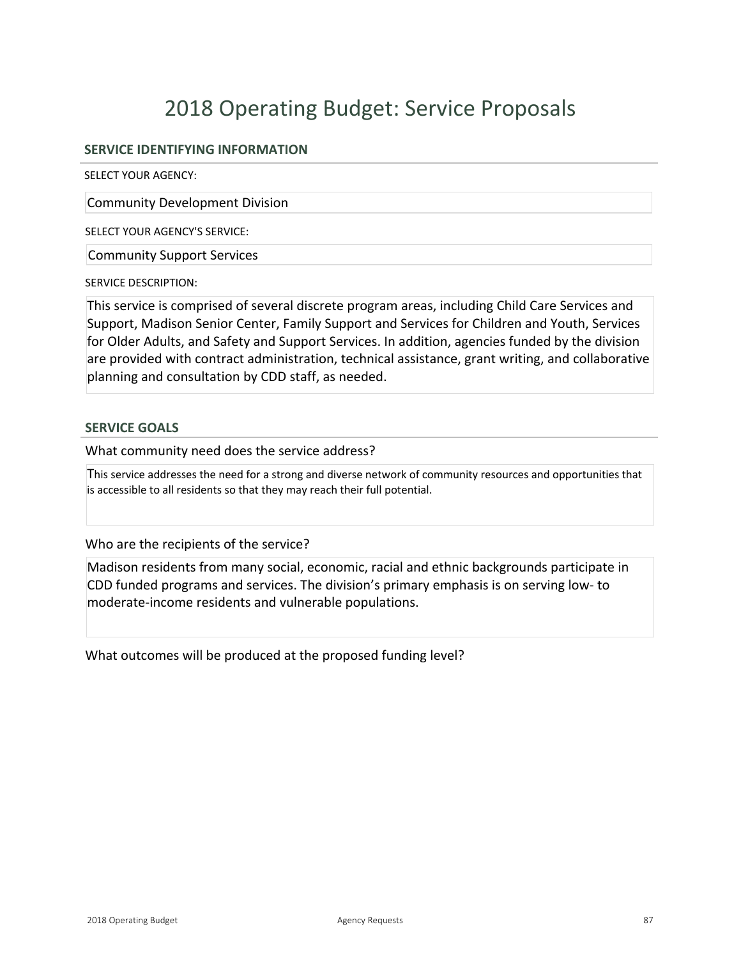### **SERVICE IDENTIFYING INFORMATION**

SELECT YOUR AGENCY:

Community Development Division

SELECT YOUR AGENCY'S SERVICE:

Community Support Services

SERVICE DESCRIPTION:

This service is comprised of several discrete program areas, including Child Care Services and Support, Madison Senior Center, Family Support and Services for Children and Youth, Services for Older Adults, and Safety and Support Services. In addition, agencies funded by the division are provided with contract administration, technical assistance, grant writing, and collaborative planning and consultation by CDD staff, as needed.

### **SERVICE GOALS**

What community need does the service address?

This service addresses the need for a strong and diverse network of community resources and opportunities that is accessible to all residents so that they may reach their full potential.

Who are the recipients of the service?

Madison residents from many social, economic, racial and ethnic backgrounds participate in CDD funded programs and services. The division's primary emphasis is on serving low to moderate-income residents and vulnerable populations.

What outcomes will be produced at the proposed funding level?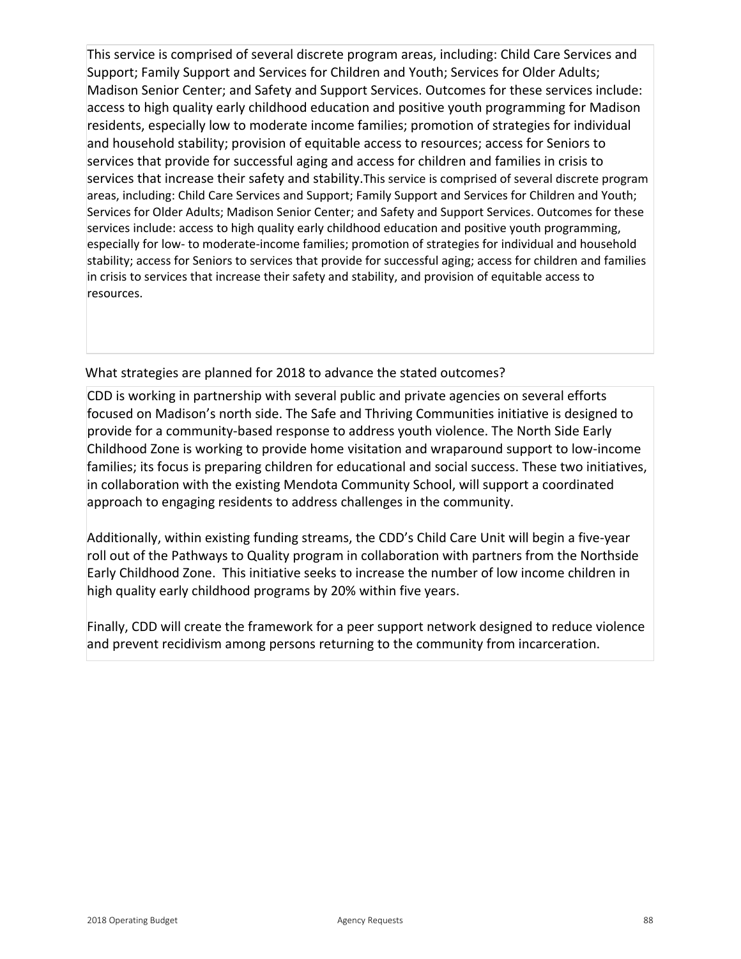This service is comprised of several discrete program areas, including: Child Care Services and Support; Family Support and Services for Children and Youth; Services for Older Adults; Madison Senior Center; and Safety and Support Services. Outcomes for these services include: access to high quality early childhood education and positive youth programming for Madison residents, especially low to moderate income families; promotion of strategies for individual and household stability; provision of equitable access to resources; access for Seniors to services that provide for successful aging and access for children and families in crisis to services that increase their safety and stability.This service is comprised of several discrete program areas, including: Child Care Services and Support; Family Support and Services for Children and Youth; Services for Older Adults; Madison Senior Center; and Safety and Support Services. Outcomes for these services include: access to high quality early childhood education and positive youth programming, especially for low- to moderate-income families; promotion of strategies for individual and household stability; access for Seniors to services that provide for successful aging; access for children and families in crisis to services that increase their safety and stability, and provision of equitable access to resources.

## What strategies are planned for 2018 to advance the stated outcomes?

CDD is working in partnership with several public and private agencies on several efforts focused on Madison's north side. The Safe and Thriving Communities initiative is designed to provide for a community-based response to address youth violence. The North Side Early Childhood Zone is working to provide home visitation and wraparound support to lowincome families; its focus is preparing children for educational and social success. These two initiatives, in collaboration with the existing Mendota Community School, will support a coordinated approach to engaging residents to address challenges in the community.

Additionally, within existing funding streams, the CDD's Child Care Unit will begin a five-year roll out of the Pathways to Quality program in collaboration with partners from the Northside Early Childhood Zone. This initiative seeks to increase the number of low income children in high quality early childhood programs by 20% within five years.

Finally, CDD will create the framework for a peer support network designed to reduce violence and prevent recidivism among persons returning to the community from incarceration.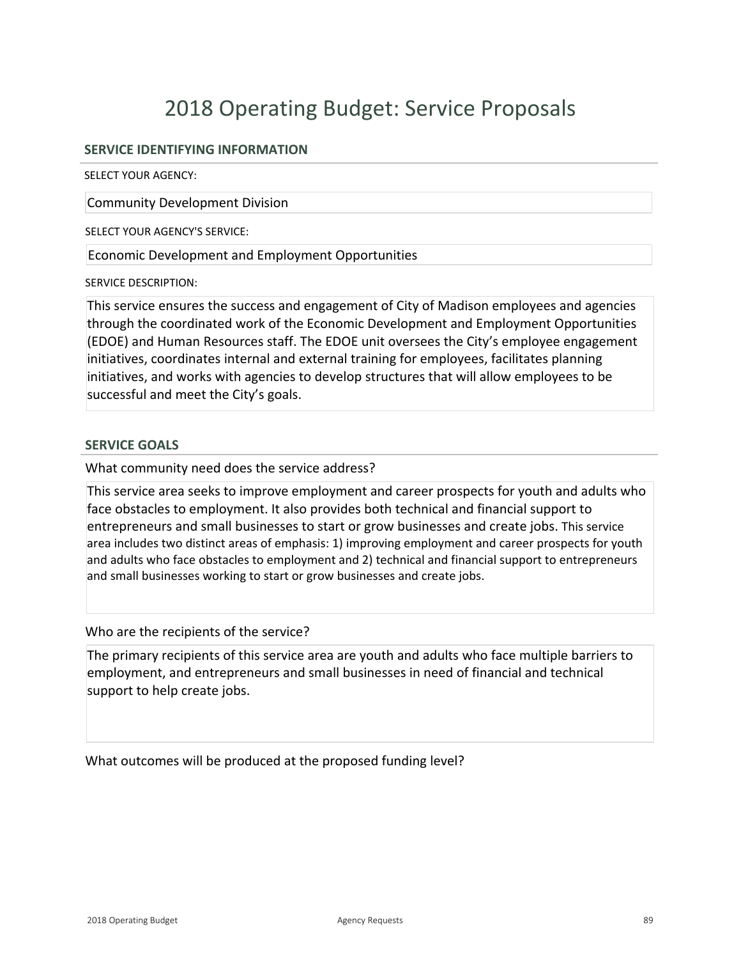### **SERVICE IDENTIFYING INFORMATION**

SELECT YOUR AGENCY:

Community Development Division

SELECT YOUR AGENCY'S SERVICE:

Economic Development and Employment Opportunities

SERVICE DESCRIPTION:

This service ensures the success and engagement of City of Madison employees and agencies through the coordinated work of the Economic Development and Employment Opportunities (EDOE) and Human Resources staff. The EDOE unit oversees the City's employee engagement initiatives, coordinates internal and external training for employees, facilitates planning initiatives, and works with agencies to develop structures that will allow employees to be successful and meet the City's goals.

### **SERVICE GOALS**

What community need does the service address?

This service area seeks to improve employment and career prospects for youth and adults who face obstacles to employment. It also provides both technical and financial support to entrepreneurs and small businesses to start or grow businesses and create jobs. This service area includes two distinct areas of emphasis: 1) improving employment and career prospects for youth and adults who face obstacles to employment and 2) technical and financial support to entrepreneurs and small businesses working to start or grow businesses and create jobs.

Who are the recipients of the service?

The primary recipients of this service area are youth and adults who face multiple barriers to employment, and entrepreneurs and small businesses in need of financial and technical support to help create jobs.

What outcomes will be produced at the proposed funding level?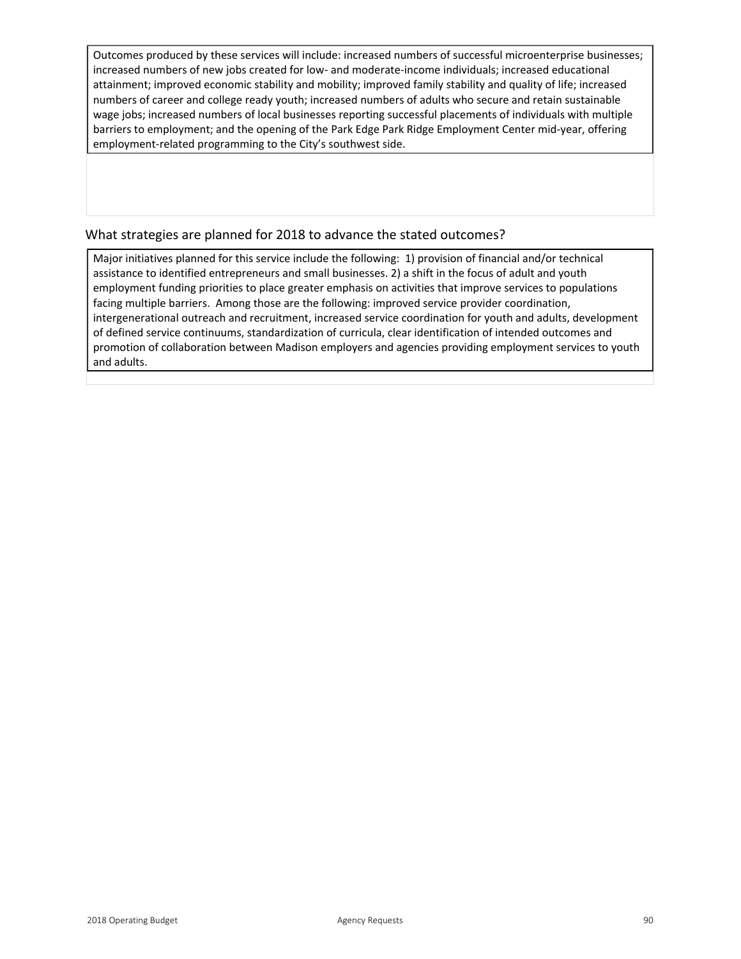Outcomes produced by these services will include: increased numbers of successful microenterprise businesses; increased numbers of new jobs created for low- and moderate-income individuals; increased educational attainment; improved economic stability and mobility; improved family stability and quality of life; increased numbers of career and college ready youth; increased numbers of adults who secure and retain sustainable wage jobs; increased numbers of local businesses reporting successful placements of individuals with multiple barriers to employment; and the opening of the Park Edge Park Ridge Employment Center mid-year, offering employment-related programming to the City's southwest side.

### What strategies are planned for 2018 to advance the stated outcomes?

Major initiatives planned for this service include the following: 1) provision of financial and/or technical assistance to identified entrepreneurs and small businesses. 2) a shift in the focus of adult and youth employment funding priorities to place greater emphasis on activities that improve services to populations facing multiple barriers. Among those are the following: improved service provider coordination, intergenerational outreach and recruitment, increased service coordination for youth and adults, development of defined service continuums, standardization of curricula, clear identification of intended outcomes and promotion of collaboration between Madison employers and agencies providing employment services to youth and adults.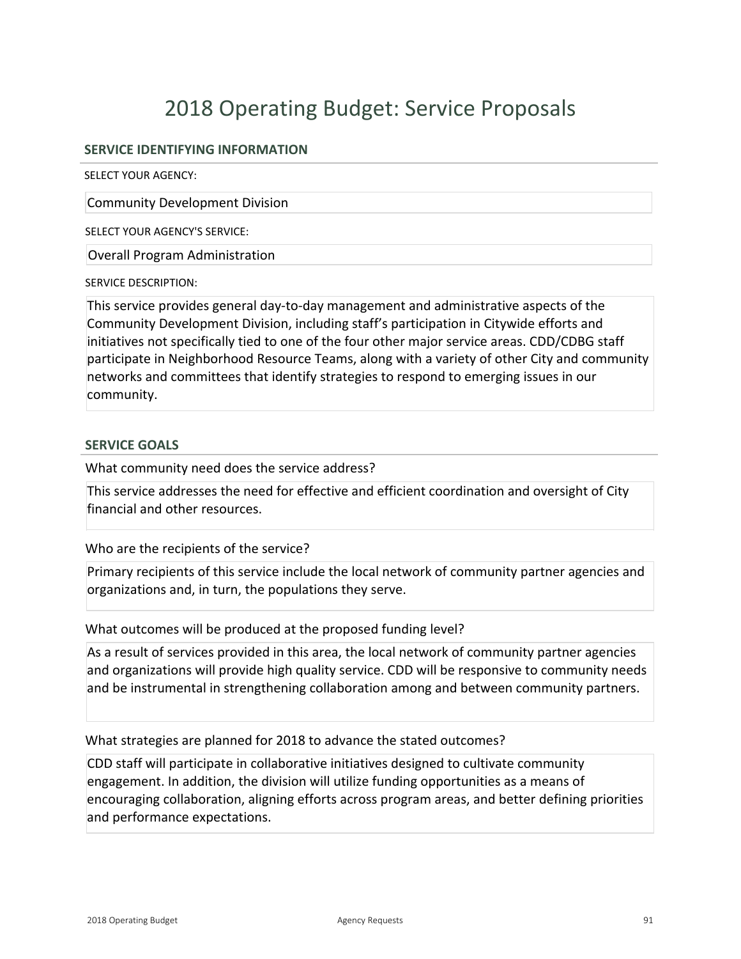### **SERVICE IDENTIFYING INFORMATION**

SELECT YOUR AGENCY:

Community Development Division

SELECT YOUR AGENCY'S SERVICE:

Overall Program Administration

SERVICE DESCRIPTION:

This service provides general day-to-day management and administrative aspects of the Community Development Division, including staff's participation in Citywide efforts and initiatives not specifically tied to one of the four other major service areas. CDD/CDBG staff participate in Neighborhood Resource Teams, along with a variety of other City and community networks and committees that identify strategies to respond to emerging issues in our community.

### **SERVICE GOALS**

What community need does the service address?

This service addresses the need for effective and efficient coordination and oversight of City financial and other resources.

Who are the recipients of the service?

Primary recipients of this service include the local network of community partner agencies and organizations and, in turn, the populations they serve.

What outcomes will be produced at the proposed funding level?

As a result of services provided in this area, the local network of community partner agencies and organizations will provide high quality service. CDD will be responsive to community needs and be instrumental in strengthening collaboration among and between community partners.

What strategies are planned for 2018 to advance the stated outcomes?

CDD staff will participate in collaborative initiatives designed to cultivate community engagement. In addition, the division will utilize funding opportunities as a means of encouraging collaboration, aligning efforts across program areas, and better defining priorities and performance expectations.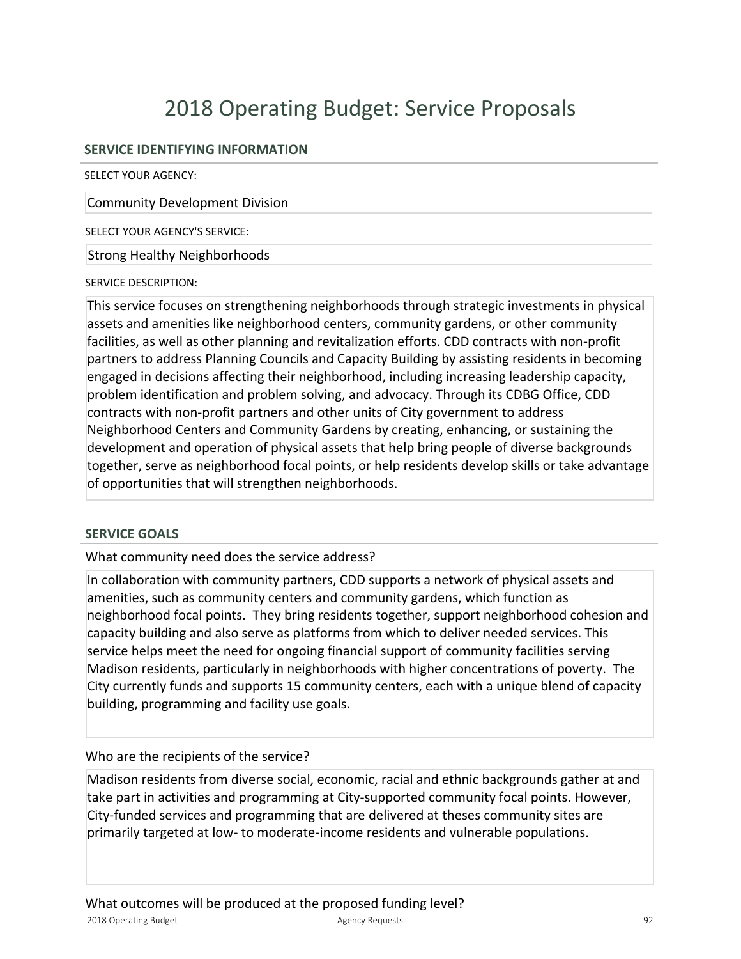## **SERVICE IDENTIFYING INFORMATION**

SELECT YOUR AGENCY:

Community Development Division

SELECT YOUR AGENCY'S SERVICE:

Strong Healthy Neighborhoods

### SERVICE DESCRIPTION:

This service focuses on strengthening neighborhoods through strategic investments in physical assets and amenities like neighborhood centers, community gardens, or other community facilities, as well as other planning and revitalization efforts. CDD contracts with non-profit partners to address Planning Councils and Capacity Building by assisting residents in becoming engaged in decisions affecting their neighborhood, including increasing leadership capacity, problem identification and problem solving, and advocacy. Through its CDBG Office, CDD contracts with non-profit partners and other units of City government to address Neighborhood Centers and Community Gardens by creating, enhancing, or sustaining the development and operation of physical assets that help bring people of diverse backgrounds together, serve as neighborhood focal points, or help residents develop skills or take advantage of opportunities that will strengthen neighborhoods.

### **SERVICE GOALS**

What community need does the service address?

In collaboration with community partners, CDD supports a network of physical assets and amenities, such as community centers and community gardens, which function as neighborhood focal points. They bring residents together, support neighborhood cohesion and capacity building and also serve as platforms from which to deliver needed services. This service helps meet the need for ongoing financial support of community facilities serving Madison residents, particularly in neighborhoods with higher concentrations of poverty. The City currently funds and supports 15 community centers, each with a unique blend of capacity building, programming and facility use goals.

## Who are the recipients of the service?

Madison residents from diverse social, economic, racial and ethnic backgrounds gather at and take part in activities and programming at City-supported community focal points. However, City-funded services and programming that are delivered at theses community sites are primarily targeted at low- to moderate-income residents and vulnerable populations.